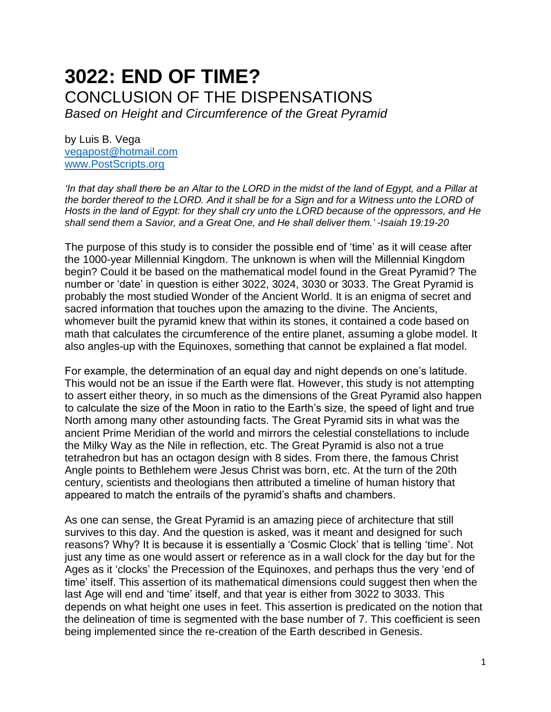# **3022: END OF TIME?** CONCLUSION OF THE DISPENSATIONS

*Based on Height and Circumference of the Great Pyramid*

by Luis B. Vega [vegapost@hotmail.com](mailto:vegapost@hotmail.com) [www.PostScripts.org](http://www.postscripts.org/)

*'In that day shall there be an Altar to the LORD in the midst of the land of Egypt, and a Pillar at the border thereof to the LORD. And it shall be for a Sign and for a Witness unto the LORD of Hosts in the land of Egypt: for they shall cry unto the LORD because of the oppressors, and He shall send them a Savior, and a Great One, and He shall deliver them.' -Isaiah 19:19-20*

The purpose of this study is to consider the possible end of 'time' as it will cease after the 1000-year Millennial Kingdom. The unknown is when will the Millennial Kingdom begin? Could it be based on the mathematical model found in the Great Pyramid? The number or 'date' in question is either 3022, 3024, 3030 or 3033. The Great Pyramid is probably the most studied Wonder of the Ancient World. It is an enigma of secret and sacred information that touches upon the amazing to the divine. The Ancients, whomever built the pyramid knew that within its stones, it contained a code based on math that calculates the circumference of the entire planet, assuming a globe model. It also angles-up with the Equinoxes, something that cannot be explained a flat model.

For example, the determination of an equal day and night depends on one's latitude. This would not be an issue if the Earth were flat. However, this study is not attempting to assert either theory, in so much as the dimensions of the Great Pyramid also happen to calculate the size of the Moon in ratio to the Earth's size, the speed of light and true North among many other astounding facts. The Great Pyramid sits in what was the ancient Prime Meridian of the world and mirrors the celestial constellations to include the Milky Way as the Nile in reflection, etc. The Great Pyramid is also not a true tetrahedron but has an octagon design with 8 sides. From there, the famous Christ Angle points to Bethlehem were Jesus Christ was born, etc. At the turn of the 20th century, scientists and theologians then attributed a timeline of human history that appeared to match the entrails of the pyramid's shafts and chambers.

As one can sense, the Great Pyramid is an amazing piece of architecture that still survives to this day. And the question is asked, was it meant and designed for such reasons? Why? It is because it is essentially a 'Cosmic Clock' that is telling 'time'. Not just any time as one would assert or reference as in a wall clock for the day but for the Ages as it 'clocks' the Precession of the Equinoxes, and perhaps thus the very 'end of time' itself. This assertion of its mathematical dimensions could suggest then when the last Age will end and 'time' itself, and that year is either from 3022 to 3033. This depends on what height one uses in feet. This assertion is predicated on the notion that the delineation of time is segmented with the base number of 7. This coefficient is seen being implemented since the re-creation of the Earth described in Genesis.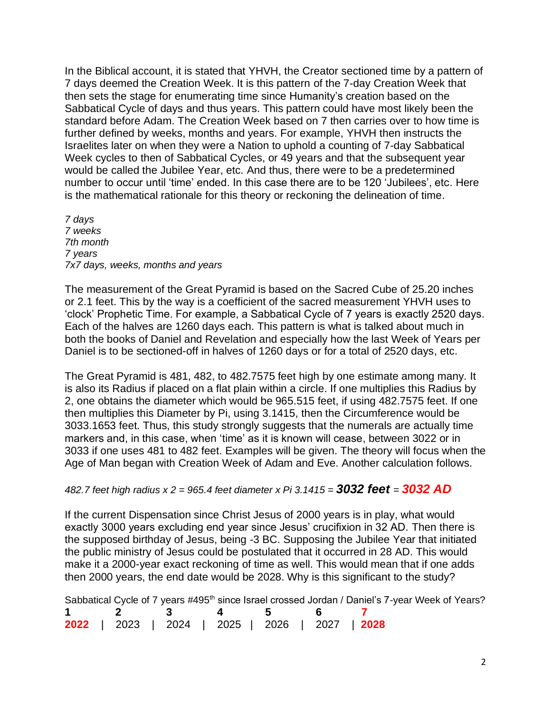In the Biblical account, it is stated that YHVH, the Creator sectioned time by a pattern of 7 days deemed the Creation Week. It is this pattern of the 7-day Creation Week that then sets the stage for enumerating time since Humanity's creation based on the Sabbatical Cycle of days and thus years. This pattern could have most likely been the standard before Adam. The Creation Week based on 7 then carries over to how time is further defined by weeks, months and years. For example, YHVH then instructs the Israelites later on when they were a Nation to uphold a counting of 7-day Sabbatical Week cycles to then of Sabbatical Cycles, or 49 years and that the subsequent year would be called the Jubilee Year, etc. And thus, there were to be a predetermined number to occur until 'time' ended. In this case there are to be 120 'Jubilees', etc. Here is the mathematical rationale for this theory or reckoning the delineation of time.

*7 days 7 weeks 7th month 7 years 7x7 days, weeks, months and years*

The measurement of the Great Pyramid is based on the Sacred Cube of 25.20 inches or 2.1 feet. This by the way is a coefficient of the sacred measurement YHVH uses to 'clock' Prophetic Time. For example, a Sabbatical Cycle of 7 years is exactly 2520 days. Each of the halves are 1260 days each. This pattern is what is talked about much in both the books of Daniel and Revelation and especially how the last Week of Years per Daniel is to be sectioned-off in halves of 1260 days or for a total of 2520 days, etc.

The Great Pyramid is 481, 482, to 482.7575 feet high by one estimate among many. It is also its Radius if placed on a flat plain within a circle. If one multiplies this Radius by 2, one obtains the diameter which would be 965.515 feet, if using 482.7575 feet. If one then multiplies this Diameter by Pi, using 3.1415, then the Circumference would be 3033.1653 feet. Thus, this study strongly suggests that the numerals are actually time markers and, in this case, when 'time' as it is known will cease, between 3022 or in 3033 if one uses 481 to 482 feet. Examples will be given. The theory will focus when the Age of Man began with Creation Week of Adam and Eve. Another calculation follows.

## *482.7 feet high radius x 2 = 965.4 feet diameter x Pi 3.1415 = 3032 feet = 3032 AD*

If the current Dispensation since Christ Jesus of 2000 years is in play, what would exactly 3000 years excluding end year since Jesus' crucifixion in 32 AD. Then there is the supposed birthday of Jesus, being -3 BC. Supposing the Jubilee Year that initiated the public ministry of Jesus could be postulated that it occurred in 28 AD. This would make it a 2000-year exact reckoning of time as well. This would mean that if one adds then 2000 years, the end date would be 2028. Why is this significant to the study?

|  |               |  |  |  |  |                                                | Sabbatical Cycle of 7 years #495 <sup>th</sup> since Israel crossed Jordan / Daniel's 7-year Week of Years? |  |
|--|---------------|--|--|--|--|------------------------------------------------|-------------------------------------------------------------------------------------------------------------|--|
|  | 1 2 3 4 5 6 7 |  |  |  |  |                                                |                                                                                                             |  |
|  |               |  |  |  |  | 2022   2023   2024   2025   2026   2027   2028 |                                                                                                             |  |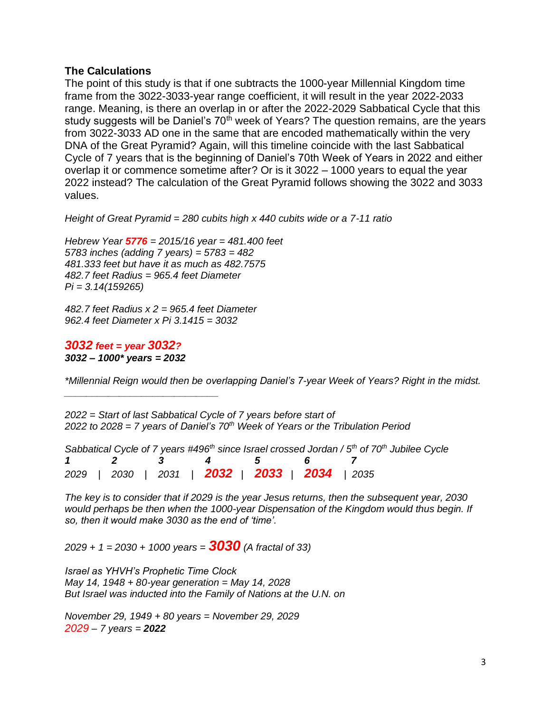## **The Calculations**

The point of this study is that if one subtracts the 1000-year Millennial Kingdom time frame from the 3022-3033-year range coefficient, it will result in the year 2022-2033 range. Meaning, is there an overlap in or after the 2022-2029 Sabbatical Cycle that this study suggests will be Daniel's 70<sup>th</sup> week of Years? The question remains, are the years from 3022-3033 AD one in the same that are encoded mathematically within the very DNA of the Great Pyramid? Again, will this timeline coincide with the last Sabbatical Cycle of 7 years that is the beginning of Daniel's 70th Week of Years in 2022 and either overlap it or commence sometime after? Or is it 3022 – 1000 years to equal the year 2022 instead? The calculation of the Great Pyramid follows showing the 3022 and 3033 values.

*Height of Great Pyramid = 280 cubits high x 440 cubits wide or a 7-11 ratio*

*Hebrew Year 5776 = 2015/16 year = 481.400 feet 5783 inches (adding 7 years) = 5783 = 482 481.333 feet but have it as much as 482.7575 482.7 feet Radius = 965.4 feet Diameter Pi = 3.14(159265)*

*482.7 feet Radius x 2 = 965.4 feet Diameter 962.4 feet Diameter x Pi 3.1415 = 3032*

*3032 feet = year 3032? 3032 – 1000\* years = 2032*

*\_\_\_\_\_\_\_\_\_\_\_\_\_\_\_\_\_\_\_\_\_\_\_\_\_\_\_\_*

*\*Millennial Reign would then be overlapping Daniel's 7-year Week of Years? Right in the midst.*

*2022 = Start of last Sabbatical Cycle of 7 years before start of 2022 to 2028 = 7 years of Daniel's 70th Week of Years or the Tribulation Period*

*Sabbatical Cycle of 7 years #496 th since Israel crossed Jordan / 5 th of 70th Jubilee Cycle 1 2 3 4 5 6 7 2029 | 2030 | 2031 | 2032 | 2033 | 2034 | 2035*

*The key is to consider that if 2029 is the year Jesus returns, then the subsequent year, 2030 would perhaps be then when the 1000-year Dispensation of the Kingdom would thus begin. If so, then it would make 3030 as the end of 'time'.*

*2029 + 1 = 2030 + 1000 years = 3030 (A fractal of 33)*

*Israel as YHVH's Prophetic Time Clock May 14, 1948 + 80-year generation = May 14, 2028 But Israel was inducted into the Family of Nations at the U.N. on*

*November 29, 1949 + 80 years = November 29, 2029 2029 – 7 years = 2022*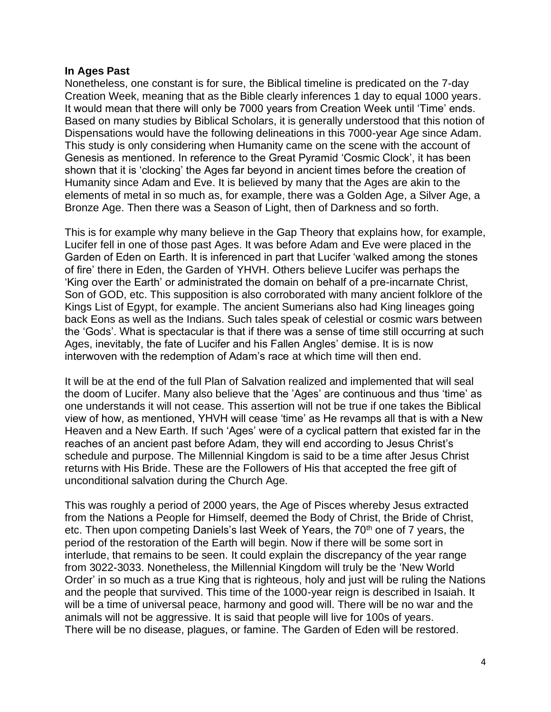### **In Ages Past**

Nonetheless, one constant is for sure, the Biblical timeline is predicated on the 7-day Creation Week, meaning that as the Bible clearly inferences 1 day to equal 1000 years. It would mean that there will only be 7000 years from Creation Week until 'Time' ends. Based on many studies by Biblical Scholars, it is generally understood that this notion of Dispensations would have the following delineations in this 7000-year Age since Adam. This study is only considering when Humanity came on the scene with the account of Genesis as mentioned. In reference to the Great Pyramid 'Cosmic Clock', it has been shown that it is 'clocking' the Ages far beyond in ancient times before the creation of Humanity since Adam and Eve. It is believed by many that the Ages are akin to the elements of metal in so much as, for example, there was a Golden Age, a Silver Age, a Bronze Age. Then there was a Season of Light, then of Darkness and so forth.

This is for example why many believe in the Gap Theory that explains how, for example, Lucifer fell in one of those past Ages. It was before Adam and Eve were placed in the Garden of Eden on Earth. It is inferenced in part that Lucifer 'walked among the stones of fire' there in Eden, the Garden of YHVH. Others believe Lucifer was perhaps the 'King over the Earth' or administrated the domain on behalf of a pre-incarnate Christ, Son of GOD, etc. This supposition is also corroborated with many ancient folklore of the Kings List of Egypt, for example. The ancient Sumerians also had King lineages going back Eons as well as the Indians. Such tales speak of celestial or cosmic wars between the 'Gods'. What is spectacular is that if there was a sense of time still occurring at such Ages, inevitably, the fate of Lucifer and his Fallen Angles' demise. It is is now interwoven with the redemption of Adam's race at which time will then end.

It will be at the end of the full Plan of Salvation realized and implemented that will seal the doom of Lucifer. Many also believe that the 'Ages' are continuous and thus 'time' as one understands it will not cease. This assertion will not be true if one takes the Biblical view of how, as mentioned, YHVH will cease 'time' as He revamps all that is with a New Heaven and a New Earth. If such 'Ages' were of a cyclical pattern that existed far in the reaches of an ancient past before Adam, they will end according to Jesus Christ's schedule and purpose. The Millennial Kingdom is said to be a time after Jesus Christ returns with His Bride. These are the Followers of His that accepted the free gift of unconditional salvation during the Church Age.

This was roughly a period of 2000 years, the Age of Pisces whereby Jesus extracted from the Nations a People for Himself, deemed the Body of Christ, the Bride of Christ, etc. Then upon competing Daniels's last Week of Years, the  $70<sup>th</sup>$  one of 7 years, the period of the restoration of the Earth will begin. Now if there will be some sort in interlude, that remains to be seen. It could explain the discrepancy of the year range from 3022-3033. Nonetheless, the Millennial Kingdom will truly be the 'New World Order' in so much as a true King that is righteous, holy and just will be ruling the Nations and the people that survived. This time of the 1000-year reign is described in Isaiah. It will be a time of universal peace, harmony and good will. There will be no war and the animals will not be aggressive. It is said that people will live for 100s of years. There will be no disease, plagues, or famine. The Garden of Eden will be restored.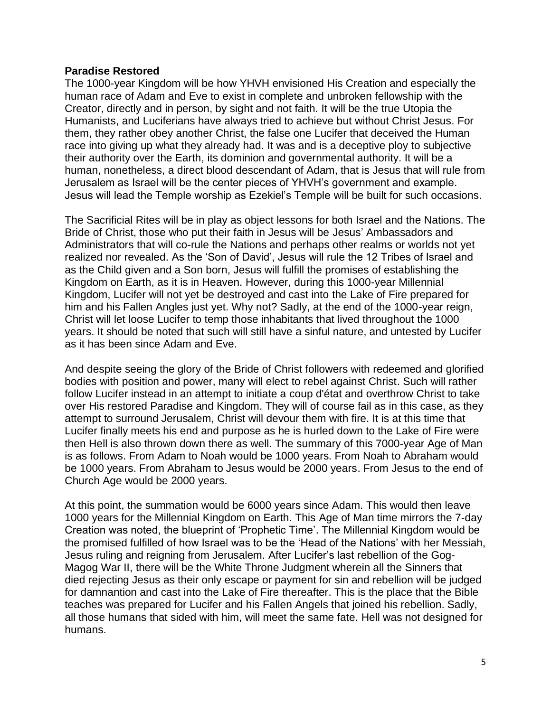### **Paradise Restored**

The 1000-year Kingdom will be how YHVH envisioned His Creation and especially the human race of Adam and Eve to exist in complete and unbroken fellowship with the Creator, directly and in person, by sight and not faith. It will be the true Utopia the Humanists, and Luciferians have always tried to achieve but without Christ Jesus. For them, they rather obey another Christ, the false one Lucifer that deceived the Human race into giving up what they already had. It was and is a deceptive ploy to subjective their authority over the Earth, its dominion and governmental authority. It will be a human, nonetheless, a direct blood descendant of Adam, that is Jesus that will rule from Jerusalem as Israel will be the center pieces of YHVH's government and example. Jesus will lead the Temple worship as Ezekiel's Temple will be built for such occasions.

The Sacrificial Rites will be in play as object lessons for both Israel and the Nations. The Bride of Christ, those who put their faith in Jesus will be Jesus' Ambassadors and Administrators that will co-rule the Nations and perhaps other realms or worlds not yet realized nor revealed. As the 'Son of David', Jesus will rule the 12 Tribes of Israel and as the Child given and a Son born, Jesus will fulfill the promises of establishing the Kingdom on Earth, as it is in Heaven. However, during this 1000-year Millennial Kingdom, Lucifer will not yet be destroyed and cast into the Lake of Fire prepared for him and his Fallen Angles just yet. Why not? Sadly, at the end of the 1000-year reign, Christ will let loose Lucifer to temp those inhabitants that lived throughout the 1000 years. It should be noted that such will still have a sinful nature, and untested by Lucifer as it has been since Adam and Eve.

And despite seeing the glory of the Bride of Christ followers with redeemed and glorified bodies with position and power, many will elect to rebel against Christ. Such will rather follow Lucifer instead in an attempt to initiate a coup d'état and overthrow Christ to take over His restored Paradise and Kingdom. They will of course fail as in this case, as they attempt to surround Jerusalem, Christ will devour them with fire. It is at this time that Lucifer finally meets his end and purpose as he is hurled down to the Lake of Fire were then Hell is also thrown down there as well. The summary of this 7000-year Age of Man is as follows. From Adam to Noah would be 1000 years. From Noah to Abraham would be 1000 years. From Abraham to Jesus would be 2000 years. From Jesus to the end of Church Age would be 2000 years.

At this point, the summation would be 6000 years since Adam. This would then leave 1000 years for the Millennial Kingdom on Earth. This Age of Man time mirrors the 7-day Creation was noted, the blueprint of 'Prophetic Time'. The Millennial Kingdom would be the promised fulfilled of how Israel was to be the 'Head of the Nations' with her Messiah, Jesus ruling and reigning from Jerusalem. After Lucifer's last rebellion of the Gog-Magog War II, there will be the White Throne Judgment wherein all the Sinners that died rejecting Jesus as their only escape or payment for sin and rebellion will be judged for damnantion and cast into the Lake of Fire thereafter. This is the place that the Bible teaches was prepared for Lucifer and his Fallen Angels that joined his rebellion. Sadly, all those humans that sided with him, will meet the same fate. Hell was not designed for humans.